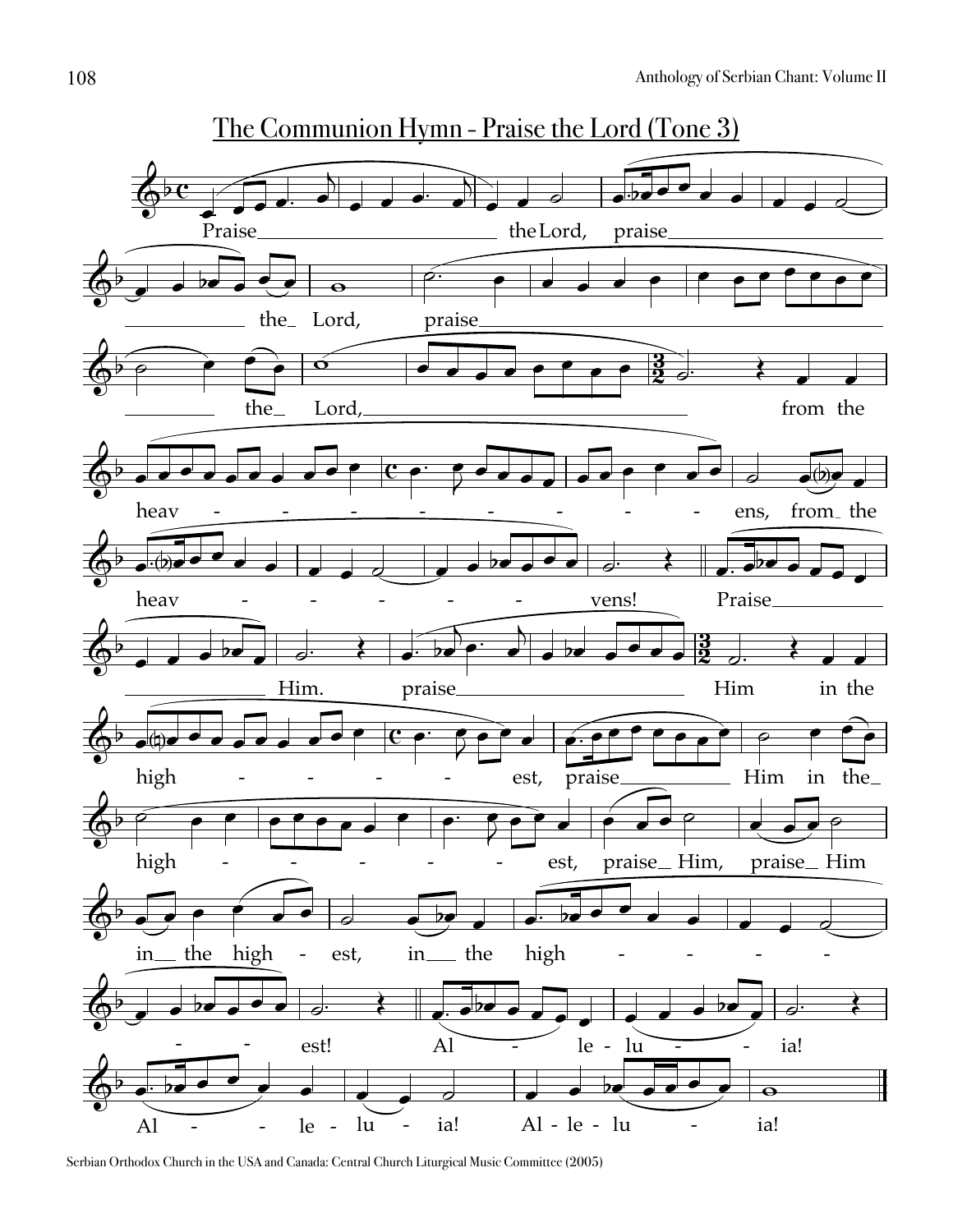

The Communion Hymn - Praise the Lord (Tone 3)

Serbian Orthodox Church in the USA and Canada: Central Church Liturgical Music Committee (2005)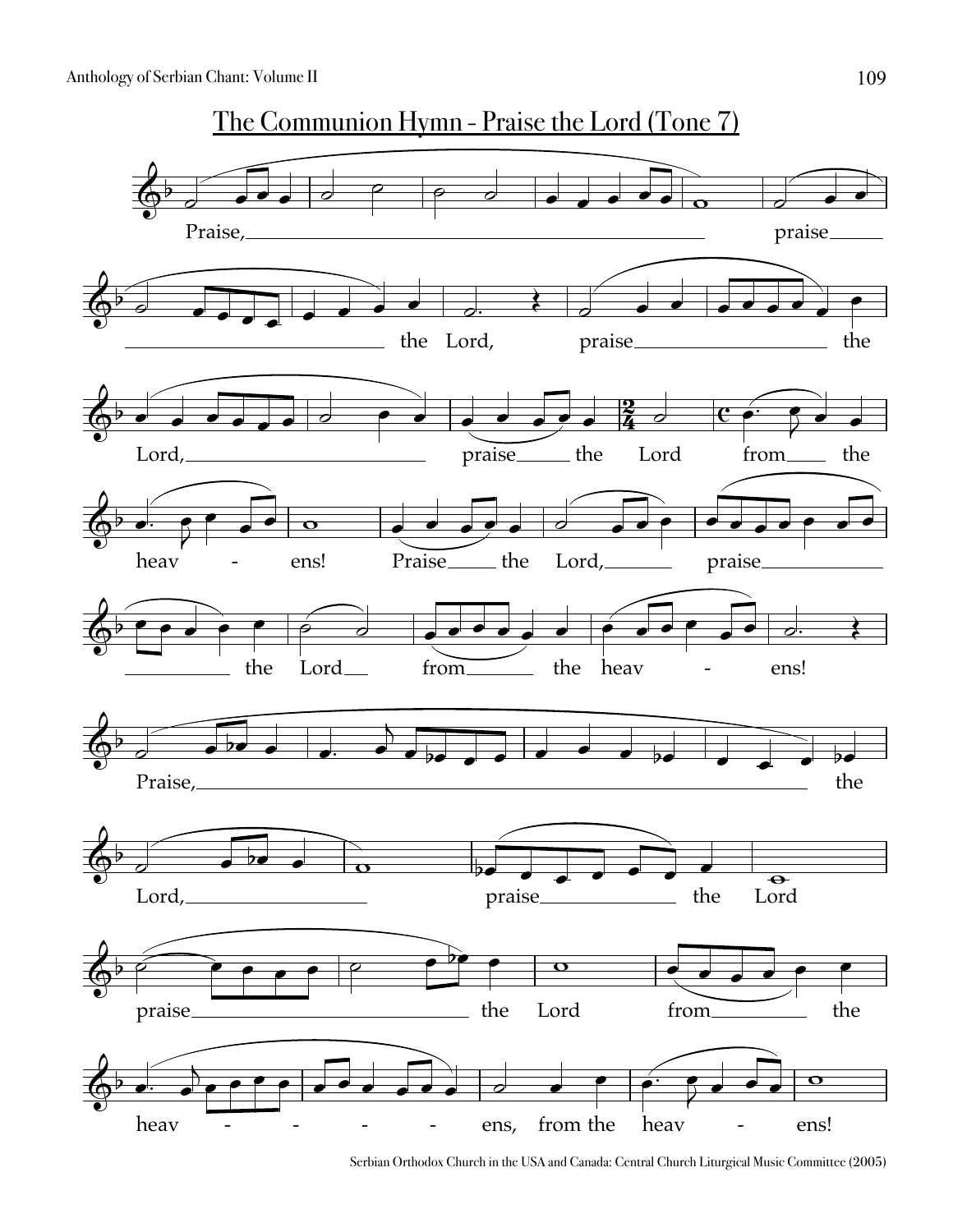

Serbian Orthodox Church in the USA and Canada: Central Church Liturgical Music Committee (2005)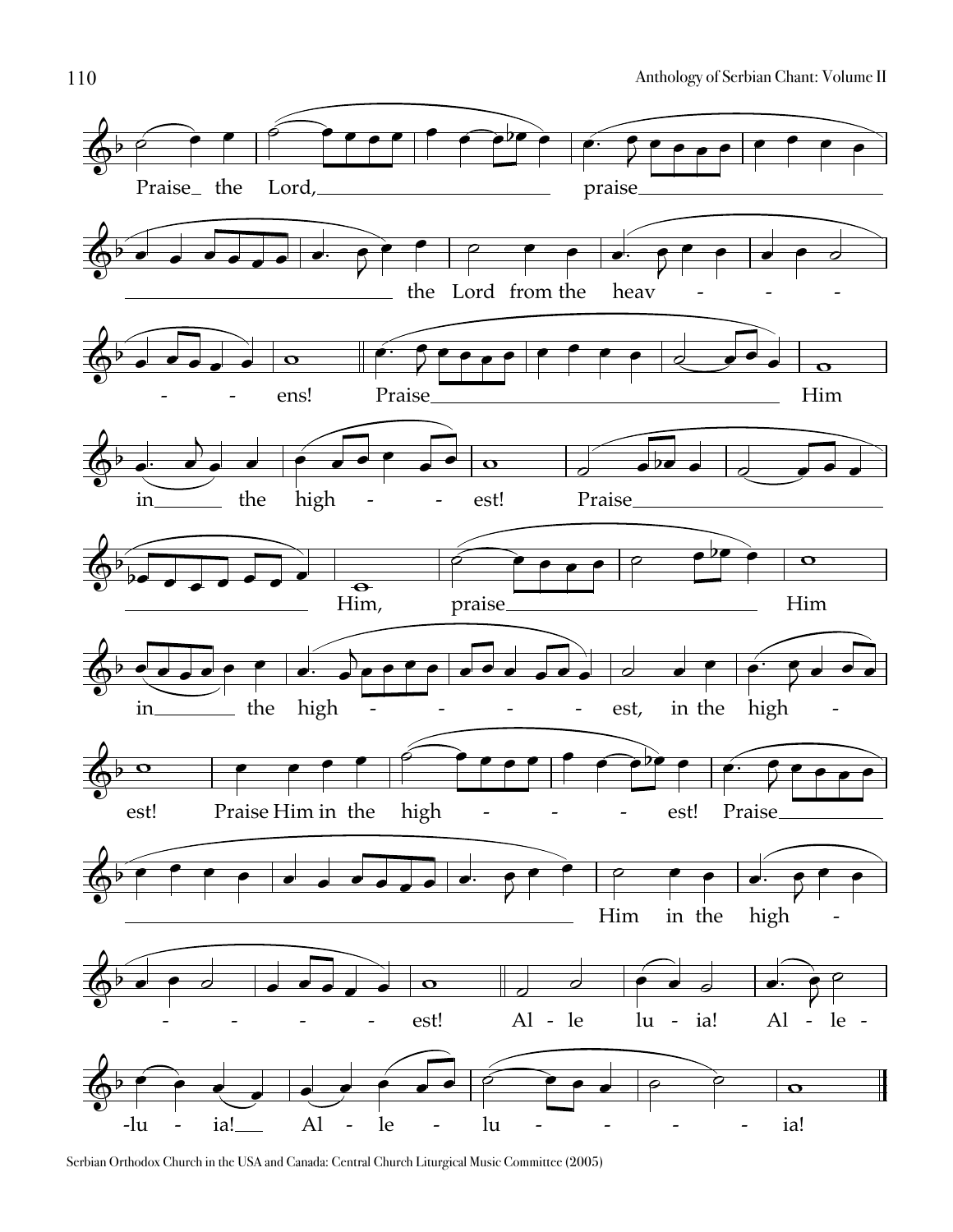

Serbian Orthodox Church in the USA and Canada: Central Church Liturgical Music Committee (2005)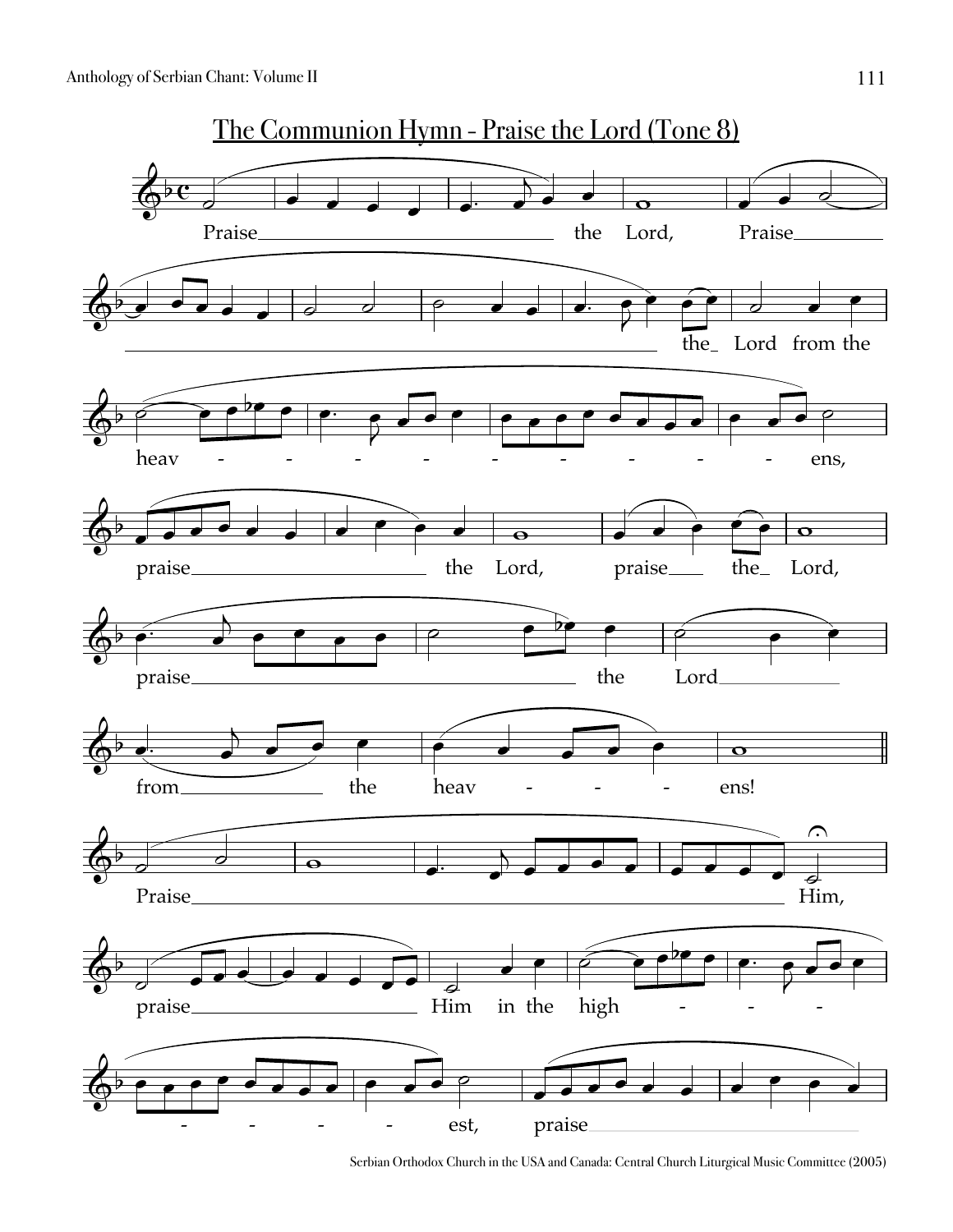

Serbian Orthodox Church in the USA and Canada: Central Church Liturgical Music Committee (2005)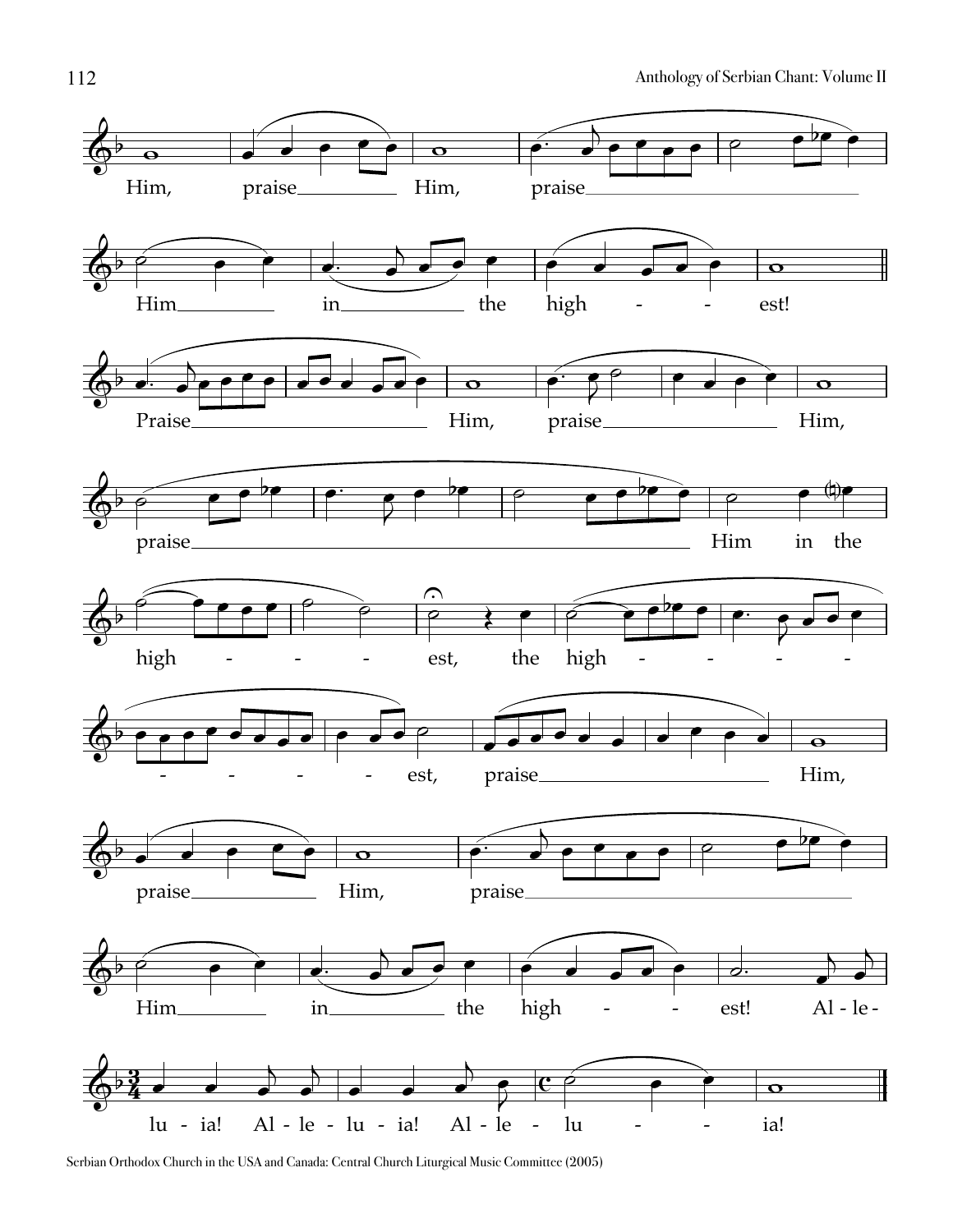

Serbian Orthodox Church in the USA and Canada: Central Church Liturgical Music Committee (2005)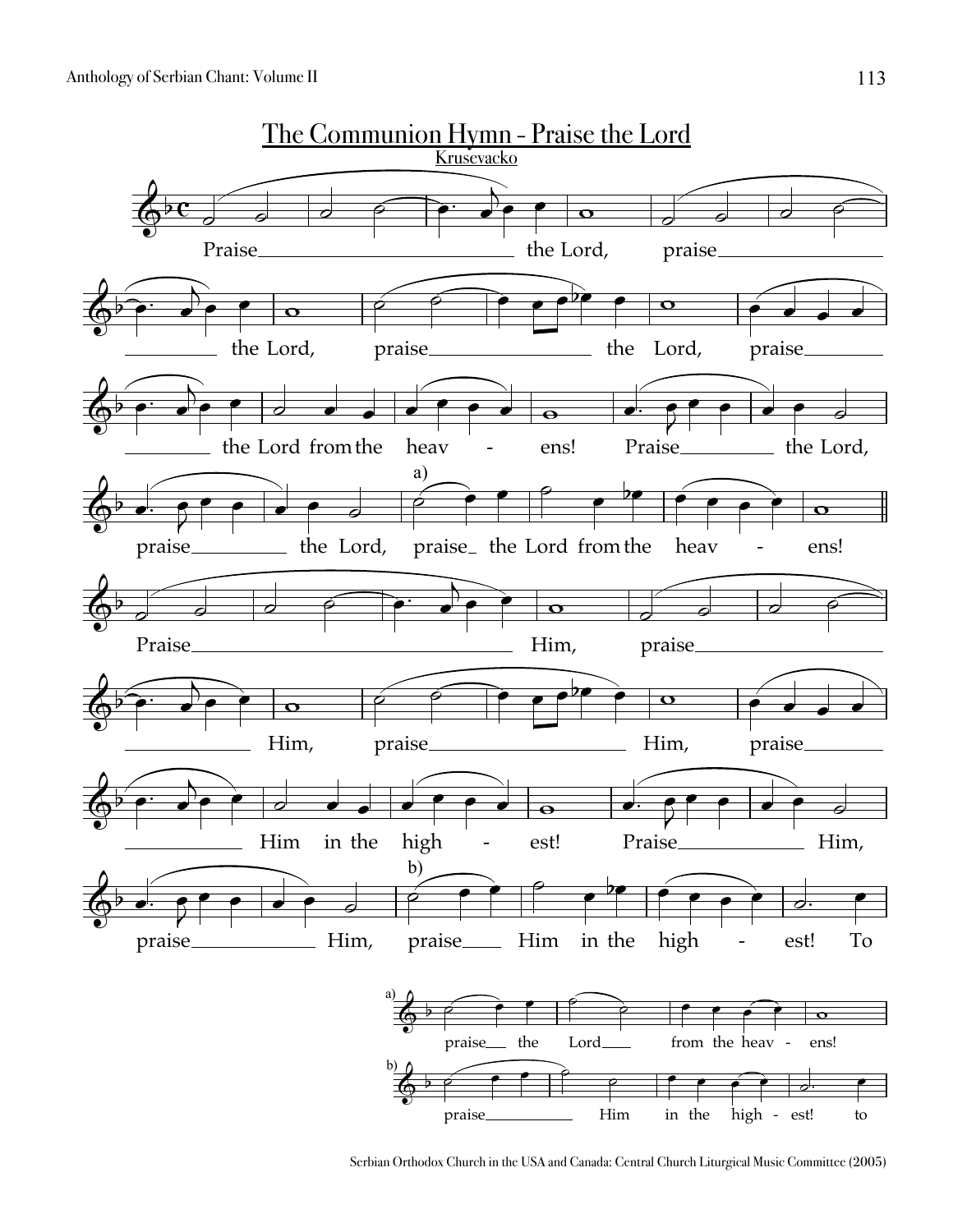

Serbian Orthodox Church in the USA and Canada: Central Church Liturgical Music Committee (2005)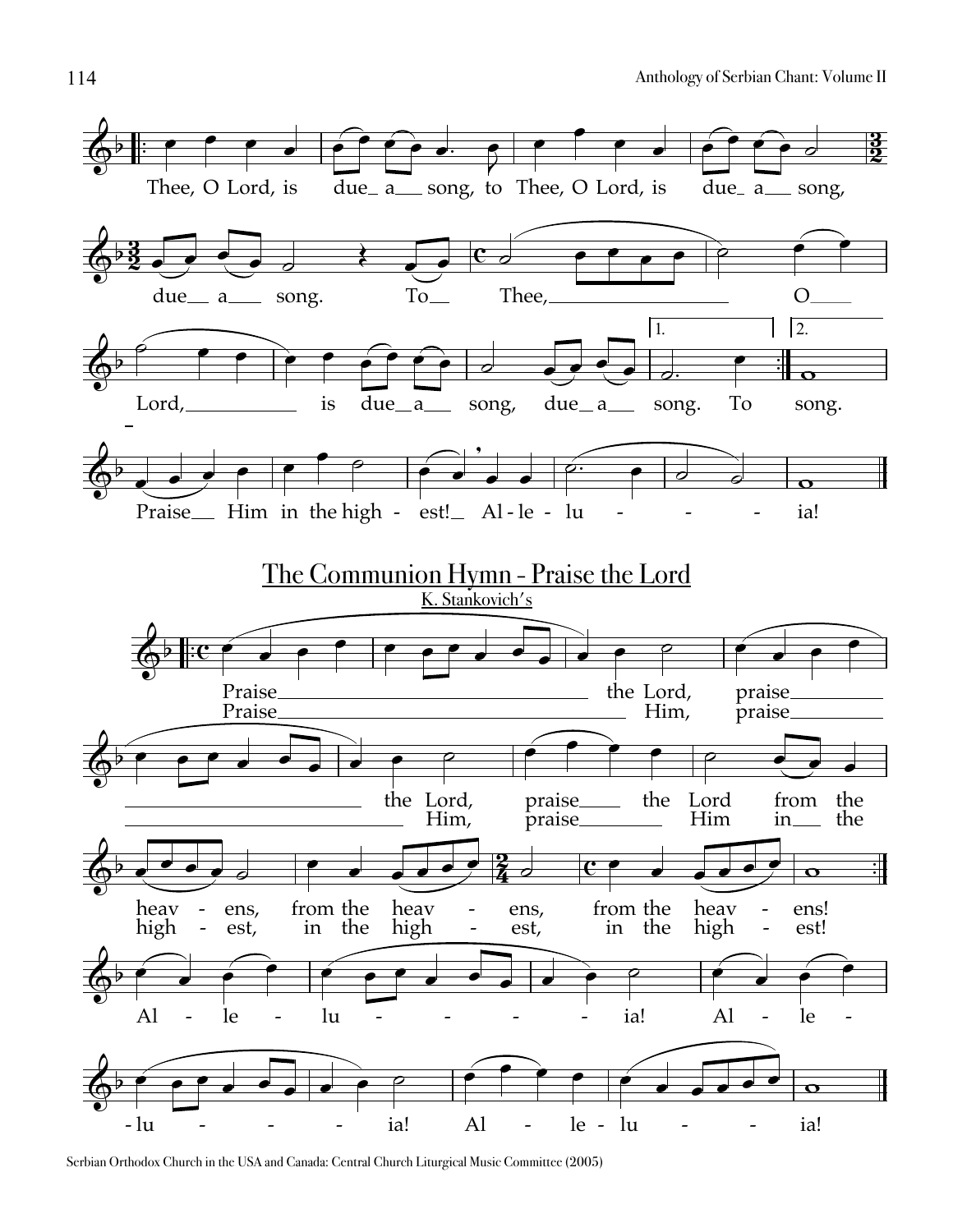

Serbian Orthodox Church in the USA and Canada: Central Church Liturgical Music Committee (2005)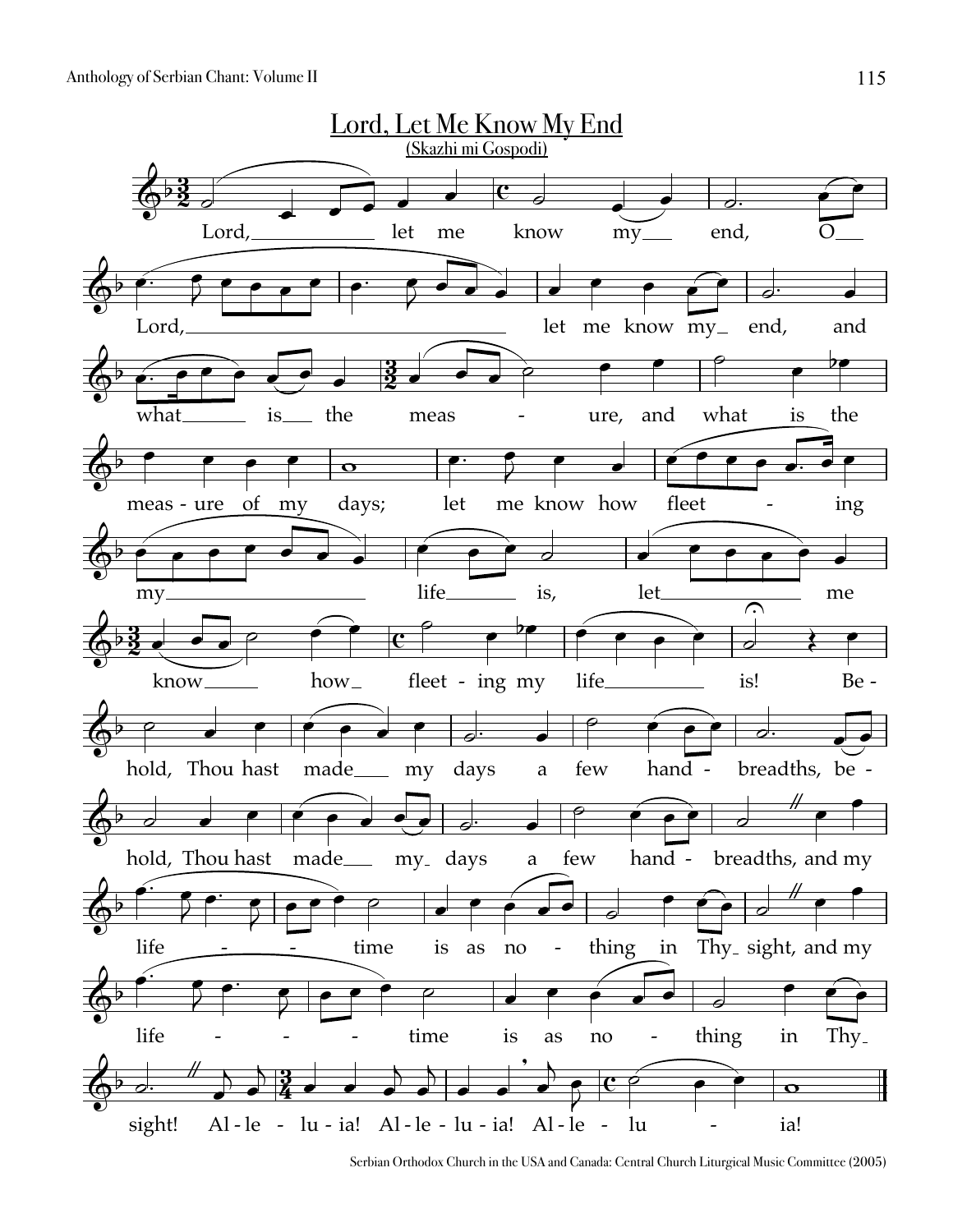

Serbian Orthodox Church in the USA and Canada: Central Church Liturgical Music Committee (2005)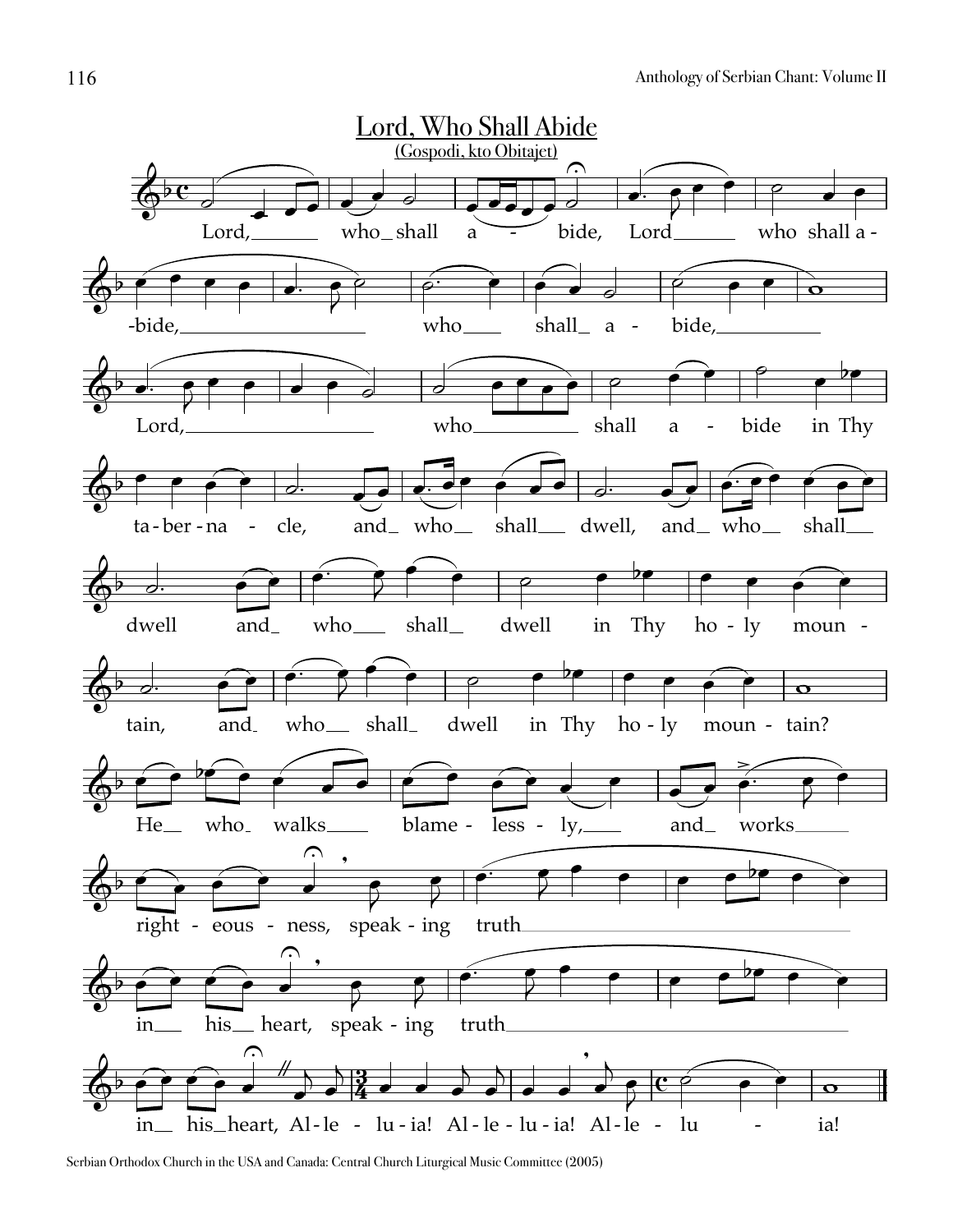

Serbian Orthodox Church in the USA and Canada: Central Church Liturgical Music Committee (2005)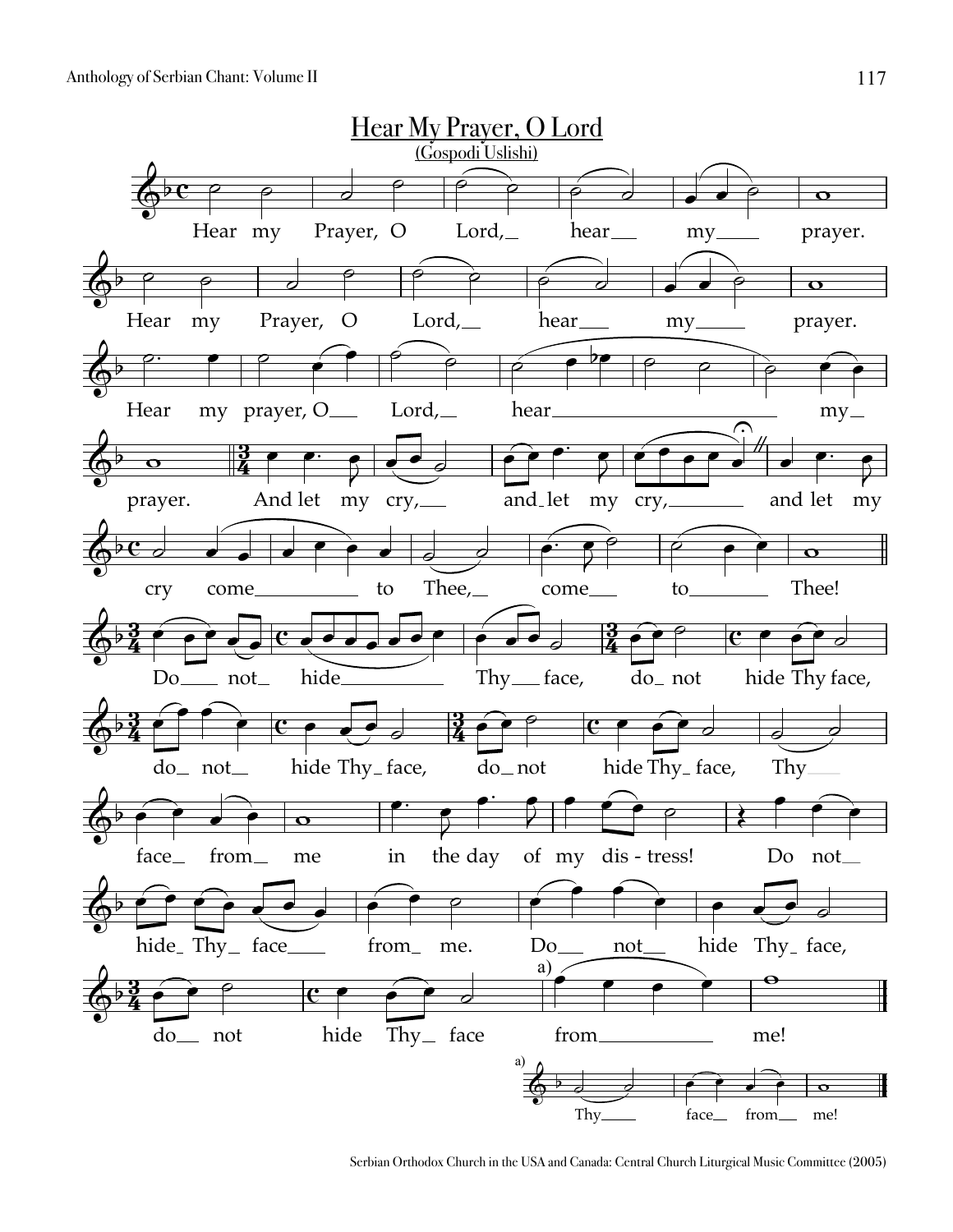

Serbian Orthodox Church in the USA and Canada: Central Church Liturgical Music Committee (2005)